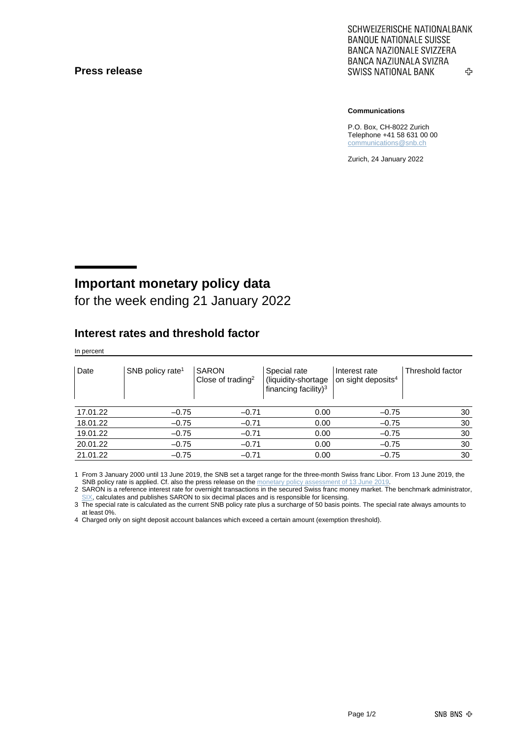#### **Press release**

SCHWEIZERISCHE NATIONALBANK **BANQUE NATIONALE SUISSE BANCA NAZIONALE SVIZZERA** BANCA NAZIUNALA SVIZRA **SWISS NATIONAL BANK** ኇ

#### **Communications**

P.O. Box, CH-8022 Zurich Telephone +41 58 631 00 00 [communications@snb.ch](mailto:communications@snb.ch)

Zurich, 24 January 2022

# **Important monetary policy data**

for the week ending 21 January 2022

### **Interest rates and threshold factor**

In percent

| Date     | SNB policy rate <sup>1</sup> | <b>SARON</b><br>Close of trading <sup>2</sup> | Special rate<br>(liquidity-shortage<br>financing facility) <sup>3</sup> | Interest rate<br>on sight deposits <sup>4</sup> | Threshold factor |
|----------|------------------------------|-----------------------------------------------|-------------------------------------------------------------------------|-------------------------------------------------|------------------|
| 17.01.22 | $-0.75$                      | $-0.71$                                       | 0.00                                                                    | $-0.75$                                         | 30               |
| 18.01.22 | $-0.75$                      | $-0.71$                                       | 0.00                                                                    | $-0.75$                                         | 30               |
| 19.01.22 | $-0.75$                      | $-0.71$                                       | 0.00                                                                    | $-0.75$                                         | 30               |
| 20.01.22 | $-0.75$                      | $-0.71$                                       | 0.00                                                                    | $-0.75$                                         | 30               |
| 21.01.22 | $-0.75$                      | $-0.71$                                       | 0.00                                                                    | $-0.75$                                         | 30               |

1 From 3 January 2000 until 13 June 2019, the SNB set a target range for the three-month Swiss franc Libor. From 13 June 2019, the SNB policy rate is applied. Cf. also the press release on th[e monetary policy assessment of 13](https://www.snb.ch/en/mmr/reference/pre_20190613/source/pre_20190613.en.pdf) June 201

2 SARON is a reference interest rate for overnight transactions in the secured Swiss franc money market. The benchmark administrator, [SIX,](https://www.six-group.com/exchanges/indices/data_centre/swiss_reference_rates/reference_rates_en.html) calculates and publishes SARON to six decimal places and is responsible for licensing.

3 The special rate is calculated as the current SNB policy rate plus a surcharge of 50 basis points. The special rate always amounts to at least 0%.

4 Charged only on sight deposit account balances which exceed a certain amount (exemption threshold).